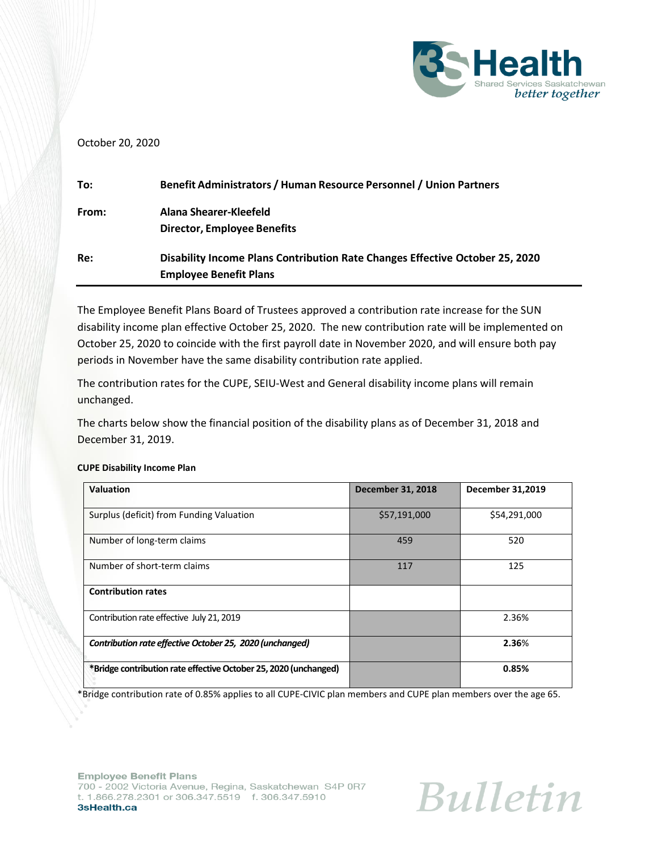

# October 20, 2020

| To:   | Benefit Administrators / Human Resource Personnel / Union Partners           |
|-------|------------------------------------------------------------------------------|
| From: | Alana Shearer-Kleefeld                                                       |
|       | Director, Employee Benefits                                                  |
| Re:   | Disability Income Plans Contribution Rate Changes Effective October 25, 2020 |
|       | <b>Employee Benefit Plans</b>                                                |

The Employee Benefit Plans Board of Trustees approved a contribution rate increase for the SUN disability income plan effective October 25, 2020. The new contribution rate will be implemented on October 25, 2020 to coincide with the first payroll date in November 2020, and will ensure both pay periods in November have the same disability contribution rate applied.

The contribution rates for the CUPE, SEIU-West and General disability income plans will remain unchanged.

The charts below show the financial position of the disability plans as of December 31, 2018 and December 31, 2019.

| Valuation                                                        | <b>December 31, 2018</b> | <b>December 31,2019</b> |
|------------------------------------------------------------------|--------------------------|-------------------------|
| Surplus (deficit) from Funding Valuation                         | \$57,191,000             | \$54,291,000            |
| Number of long-term claims                                       | 459                      | 520                     |
| Number of short-term claims                                      | 117                      | 125                     |
| <b>Contribution rates</b>                                        |                          |                         |
| Contribution rate effective July 21, 2019                        |                          | 2.36%                   |
| Contribution rate effective October 25, 2020 (unchanged)         |                          | 2.36%                   |
| *Bridge contribution rate effective October 25, 2020 (unchanged) |                          | 0.85%                   |

## **CUPE Disability Income Plan**

\*Bridge contribution rate of 0.85% applies to all CUPE-CIVIC plan members and CUPE plan members over the age 65.

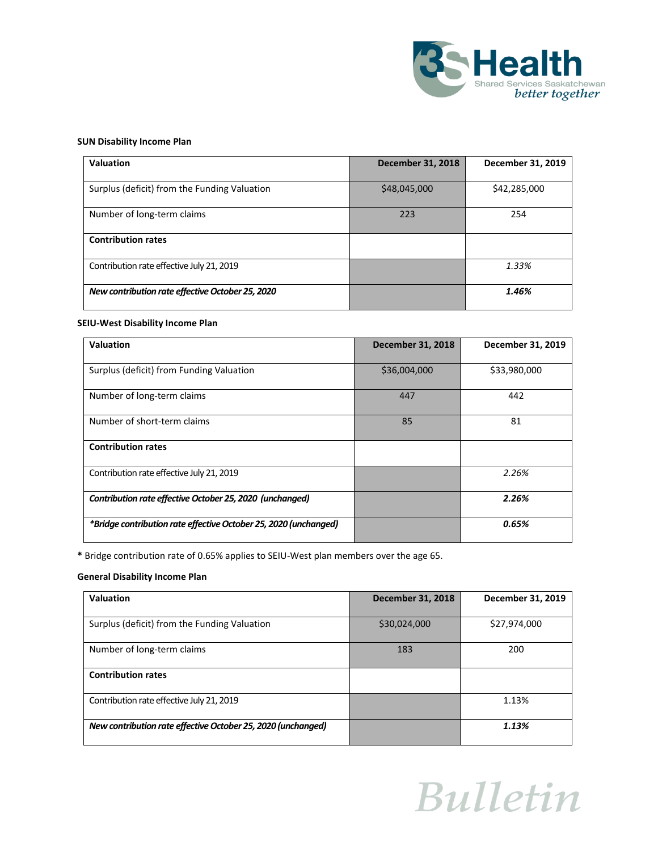

### **SUN Disability Income Plan**

| <b>Valuation</b>                                 | <b>December 31, 2018</b> | December 31, 2019 |
|--------------------------------------------------|--------------------------|-------------------|
| Surplus (deficit) from the Funding Valuation     | \$48,045,000             | \$42,285,000      |
| Number of long-term claims                       | 223                      | 254               |
| <b>Contribution rates</b>                        |                          |                   |
| Contribution rate effective July 21, 2019        |                          | 1.33%             |
| New contribution rate effective October 25, 2020 |                          | 1.46%             |

#### **SEIU-West Disability Income Plan**

| Valuation                                                        | <b>December 31, 2018</b> | December 31, 2019 |
|------------------------------------------------------------------|--------------------------|-------------------|
| Surplus (deficit) from Funding Valuation                         | \$36,004,000             | \$33,980,000      |
| Number of long-term claims                                       | 447                      | 442               |
| Number of short-term claims                                      | 85                       | 81                |
| <b>Contribution rates</b>                                        |                          |                   |
| Contribution rate effective July 21, 2019                        |                          | 2.26%             |
| Contribution rate effective October 25, 2020 (unchanged)         |                          | 2.26%             |
| *Bridge contribution rate effective October 25, 2020 (unchanged) |                          | 0.65%             |

**\*** Bridge contribution rate of 0.65% applies to SEIU-West plan members over the age 65.

### **General Disability Income Plan**

| Valuation                                                    | <b>December 31, 2018</b> | December 31, 2019 |
|--------------------------------------------------------------|--------------------------|-------------------|
| Surplus (deficit) from the Funding Valuation                 | \$30,024,000             | \$27,974,000      |
|                                                              |                          |                   |
| Number of long-term claims                                   | 183                      | 200               |
| <b>Contribution rates</b>                                    |                          |                   |
|                                                              |                          |                   |
| Contribution rate effective July 21, 2019                    |                          | 1.13%             |
|                                                              |                          |                   |
| New contribution rate effective October 25, 2020 (unchanged) |                          | 1.13%             |
|                                                              |                          |                   |